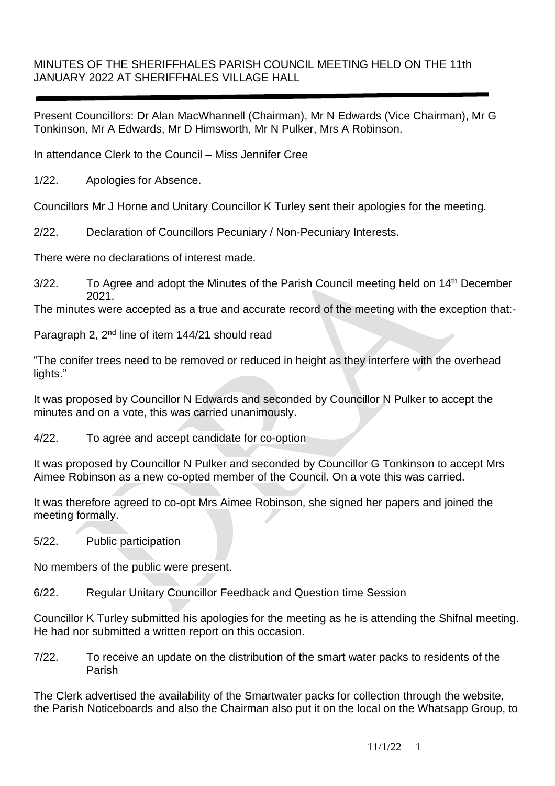## MINUTES OF THE SHERIFFHALES PARISH COUNCIL MEETING HELD ON THE 11th JANUARY 2022 AT SHERIFFHALES VILLAGE HALL

Present Councillors: Dr Alan MacWhannell (Chairman), Mr N Edwards (Vice Chairman), Mr G Tonkinson, Mr A Edwards, Mr D Himsworth, Mr N Pulker, Mrs A Robinson.

In attendance Clerk to the Council – Miss Jennifer Cree

1/22. Apologies for Absence.

Councillors Mr J Horne and Unitary Councillor K Turley sent their apologies for the meeting.

2/22. Declaration of Councillors Pecuniary / Non-Pecuniary Interests.

There were no declarations of interest made.

 $3/22$ . To Agree and adopt the Minutes of the Parish Council meeting held on  $14<sup>th</sup>$  December 2021.

The minutes were accepted as a true and accurate record of the meeting with the exception that:-

Paragraph 2, 2<sup>nd</sup> line of item 144/21 should read

"The conifer trees need to be removed or reduced in height as they interfere with the overhead lights."

It was proposed by Councillor N Edwards and seconded by Councillor N Pulker to accept the minutes and on a vote, this was carried unanimously.

4/22. To agree and accept candidate for co-option

It was proposed by Councillor N Pulker and seconded by Councillor G Tonkinson to accept Mrs Aimee Robinson as a new co-opted member of the Council. On a vote this was carried.

It was therefore agreed to co-opt Mrs Aimee Robinson, she signed her papers and joined the meeting formally.

5/22. Public participation

No members of the public were present.

6/22. Regular Unitary Councillor Feedback and Question time Session

Councillor K Turley submitted his apologies for the meeting as he is attending the Shifnal meeting. He had nor submitted a written report on this occasion.

7/22. To receive an update on the distribution of the smart water packs to residents of the Parish

The Clerk advertised the availability of the Smartwater packs for collection through the website, the Parish Noticeboards and also the Chairman also put it on the local on the Whatsapp Group, to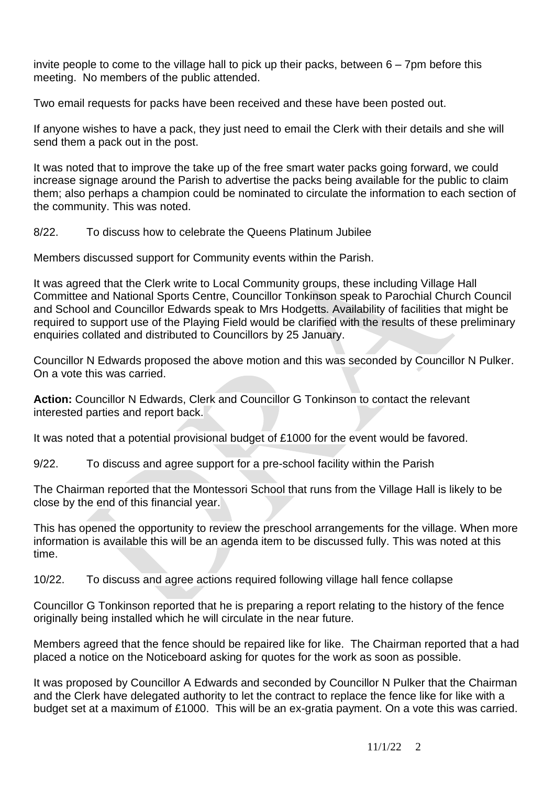invite people to come to the village hall to pick up their packs, between 6 – 7pm before this meeting. No members of the public attended.

Two email requests for packs have been received and these have been posted out.

If anyone wishes to have a pack, they just need to email the Clerk with their details and she will send them a pack out in the post.

It was noted that to improve the take up of the free smart water packs going forward, we could increase signage around the Parish to advertise the packs being available for the public to claim them; also perhaps a champion could be nominated to circulate the information to each section of the community. This was noted.

8/22. To discuss how to celebrate the Queens Platinum Jubilee

Members discussed support for Community events within the Parish.

It was agreed that the Clerk write to Local Community groups, these including Village Hall Committee and National Sports Centre, Councillor Tonkinson speak to Parochial Church Council and School and Councillor Edwards speak to Mrs Hodgetts. Availability of facilities that might be required to support use of the Playing Field would be clarified with the results of these preliminary enquiries collated and distributed to Councillors by 25 January.

Councillor N Edwards proposed the above motion and this was seconded by Councillor N Pulker. On a vote this was carried.

**Action:** Councillor N Edwards, Clerk and Councillor G Tonkinson to contact the relevant interested parties and report back.

It was noted that a potential provisional budget of £1000 for the event would be favored.

9/22. To discuss and agree support for a pre-school facility within the Parish

The Chairman reported that the Montessori School that runs from the Village Hall is likely to be close by the end of this financial year.

This has opened the opportunity to review the preschool arrangements for the village. When more information is available this will be an agenda item to be discussed fully. This was noted at this time.

10/22. To discuss and agree actions required following village hall fence collapse

Councillor G Tonkinson reported that he is preparing a report relating to the history of the fence originally being installed which he will circulate in the near future.

Members agreed that the fence should be repaired like for like. The Chairman reported that a had placed a notice on the Noticeboard asking for quotes for the work as soon as possible.

It was proposed by Councillor A Edwards and seconded by Councillor N Pulker that the Chairman and the Clerk have delegated authority to let the contract to replace the fence like for like with a budget set at a maximum of £1000. This will be an ex-gratia payment. On a vote this was carried.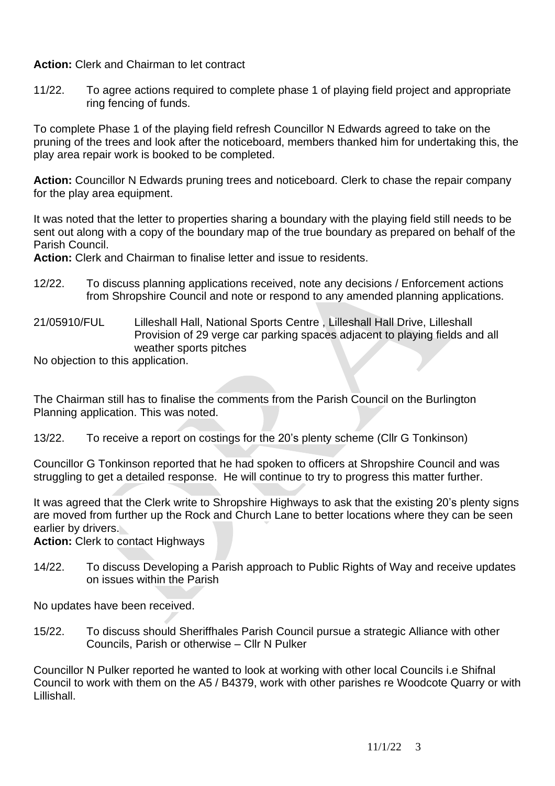**Action:** Clerk and Chairman to let contract

11/22. To agree actions required to complete phase 1 of playing field project and appropriate ring fencing of funds.

To complete Phase 1 of the playing field refresh Councillor N Edwards agreed to take on the pruning of the trees and look after the noticeboard, members thanked him for undertaking this, the play area repair work is booked to be completed.

**Action:** Councillor N Edwards pruning trees and noticeboard. Clerk to chase the repair company for the play area equipment.

It was noted that the letter to properties sharing a boundary with the playing field still needs to be sent out along with a copy of the boundary map of the true boundary as prepared on behalf of the Parish Council.

**Action:** Clerk and Chairman to finalise letter and issue to residents.

- 12/22. To discuss planning applications received, note any decisions / Enforcement actions from Shropshire Council and note or respond to any amended planning applications.
- 21/05910/FUL Lilleshall Hall, National Sports Centre , Lilleshall Hall Drive, Lilleshall Provision of 29 verge car parking spaces adjacent to playing fields and all weather sports pitches

No objection to this application.

The Chairman still has to finalise the comments from the Parish Council on the Burlington Planning application. This was noted.

13/22. To receive a report on costings for the 20's plenty scheme (Cllr G Tonkinson)

Councillor G Tonkinson reported that he had spoken to officers at Shropshire Council and was struggling to get a detailed response. He will continue to try to progress this matter further.

It was agreed that the Clerk write to Shropshire Highways to ask that the existing 20's plenty signs are moved from further up the Rock and Church Lane to better locations where they can be seen earlier by drivers.

**Action:** Clerk to contact Highways

14/22. To discuss Developing a Parish approach to Public Rights of Way and receive updates on issues within the Parish

No updates have been received.

15/22. To discuss should Sheriffhales Parish Council pursue a strategic Alliance with other Councils, Parish or otherwise – Cllr N Pulker

Councillor N Pulker reported he wanted to look at working with other local Councils i.e Shifnal Council to work with them on the A5 / B4379, work with other parishes re Woodcote Quarry or with Lillishall.